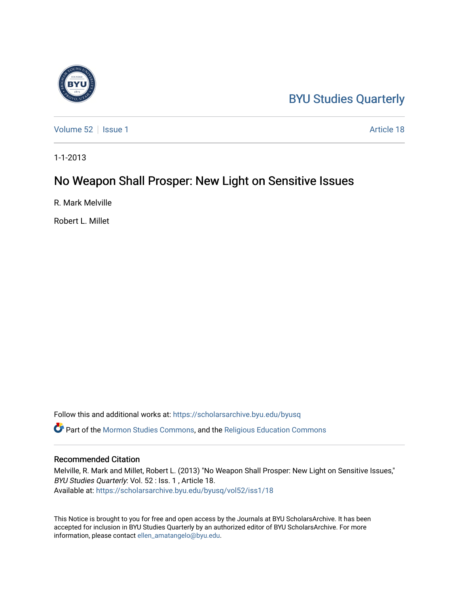## [BYU Studies Quarterly](https://scholarsarchive.byu.edu/byusq)

[Volume 52](https://scholarsarchive.byu.edu/byusq/vol52) | [Issue 1](https://scholarsarchive.byu.edu/byusq/vol52/iss1) Article 18

1-1-2013

## No Weapon Shall Prosper: New Light on Sensitive Issues

R. Mark Melville

Robert L. Millet

Follow this and additional works at: [https://scholarsarchive.byu.edu/byusq](https://scholarsarchive.byu.edu/byusq?utm_source=scholarsarchive.byu.edu%2Fbyusq%2Fvol52%2Fiss1%2F18&utm_medium=PDF&utm_campaign=PDFCoverPages)  Part of the [Mormon Studies Commons](http://network.bepress.com/hgg/discipline/1360?utm_source=scholarsarchive.byu.edu%2Fbyusq%2Fvol52%2Fiss1%2F18&utm_medium=PDF&utm_campaign=PDFCoverPages), and the [Religious Education Commons](http://network.bepress.com/hgg/discipline/1414?utm_source=scholarsarchive.byu.edu%2Fbyusq%2Fvol52%2Fiss1%2F18&utm_medium=PDF&utm_campaign=PDFCoverPages) 

## Recommended Citation

Melville, R. Mark and Millet, Robert L. (2013) "No Weapon Shall Prosper: New Light on Sensitive Issues," BYU Studies Quarterly: Vol. 52 : Iss. 1 , Article 18. Available at: [https://scholarsarchive.byu.edu/byusq/vol52/iss1/18](https://scholarsarchive.byu.edu/byusq/vol52/iss1/18?utm_source=scholarsarchive.byu.edu%2Fbyusq%2Fvol52%2Fiss1%2F18&utm_medium=PDF&utm_campaign=PDFCoverPages) 

This Notice is brought to you for free and open access by the Journals at BYU ScholarsArchive. It has been accepted for inclusion in BYU Studies Quarterly by an authorized editor of BYU ScholarsArchive. For more information, please contact [ellen\\_amatangelo@byu.edu.](mailto:ellen_amatangelo@byu.edu)